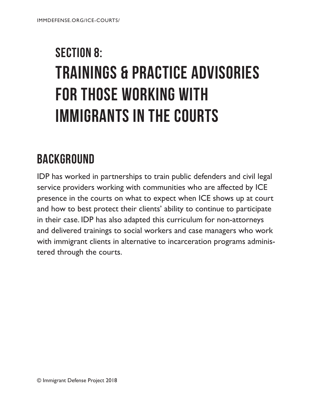# SECTION 8: TRAININGS & PRACTICE ADVISORIES FOR THOSE WORKING WITH IMMIGRANTS IN THE COURTS

# **BACKGROUND**

IDP has worked in partnerships to train public defenders and civil legal service providers working with communities who are affected by ICE presence in the courts on what to expect when ICE shows up at court and how to best protect their clients' ability to continue to participate in their case. IDP has also adapted this curriculum for non-attorneys and delivered trainings to social workers and case managers who work with immigrant clients in alternative to incarceration programs administered through the courts.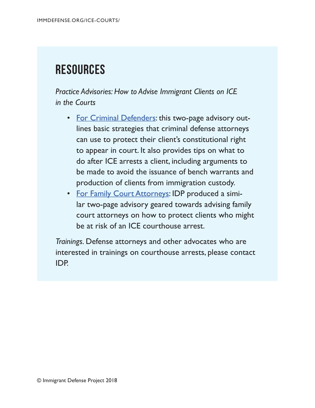# **Resources**

*Practice Advisories: How to Advise Immigrant Clients on ICE in the Courts*

- [For Criminal Defenders:](https://www.immigrantdefenseproject.org/wp-content/uploads/Tips-for-Defenders-on-ICE-at-courts.pdf) this two-page advisory outlines basic strategies that criminal defense attorneys can use to protect their client's constitutional right to appear in court. It also provides tips on what to do after ICE arrests a client, including arguments to be made to avoid the issuance of bench warrants and production of clients from immigration custody.
- [For Family Court Attorneys](https://www.immigrantdefenseproject.org/wp-content/uploads/Tips-for-Family-Attorneys-on-ICE-at-courts-05032018.pdf): IDP produced a similar two-page advisory geared towards advising family court attorneys on how to protect clients who might be at risk of an ICE courthouse arrest.

*Trainings.* Defense attorneys and other advocates who are interested in trainings on courthouse arrests, please contact IDP.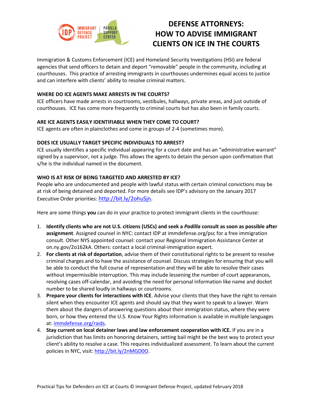

# **DEFENSE ATTORNEYS: HOW TO ADVISE IMMIGRANT CLIENTS ON ICE IN THE COURTS**

Immigration & Customs Enforcement (ICE) and Homeland Security Investigations (HSI) are federal agencies that send officers to detain and deport "removable" people in the community, including at courthouses. This practice of arresting immigrants in courthouses undermines equal access to justice and can interfere with clients' ability to resolve criminal matters.

#### **WHERE DO ICE AGENTS MAKE ARRESTS IN THE COURTS?**

ICE officers have made arrests in courtrooms, vestibules, hallways, private areas, and just outside of courthouses. ICE has come more frequently to criminal courts but has also been in family courts.

#### **ARE ICE AGENTS EASILY IDENTIFIABLE WHEN THEY COME TO COURT?**

ICE agents are often in plainclothes and come in groups of 2-4 (sometimes more).

#### **DOES ICE USUALLY TARGET SPECIFIC INDIVIDUALS TO ARREST?**

ICE usually identifies a specific individual appearing for a court date and has an "administrative warrant" signed by a supervisor, not a judge. This allows the agents to detain the person upon confirmation that s/he is the individual named in the document.

#### **WHO IS AT RISK OF BEING TARGETED AND ARRESTED BY ICE?**

People who are undocumented and people with lawful status with certain criminal convictions may be at risk of being detained and deported. For more details see IDP's advisory on the January 2017 Executive Order priorities: [http://bit.ly/2ohuSjn.](http://bit.ly/2ohuSjn)

Here are some things **you** can do in your practice to protect immigrant clients in the courthouse:

- 1. **Identify clients who are not U.S. citizens (USCs) and seek a** *Padilla* **consult as soon as possible after assignment**. Assigned counsel in NYC: contact IDP at immdefense.org/psc for a free immigration consult. Other NYS appointed counsel: contact your Regional Immigration Assistance Center at on.ny.gov/2o162kA. Others: contact a local criminal-immigration expert.
- 2. **For clients at risk of deportation**, advise them of their constitutional rights to be present to resolve criminal charges and to have the assistance of counsel. Discuss strategies for ensuring that you will be able to conduct the full course of representation and they will be able to resolve their cases without impermissible interruption. This may include lessening the number of court appearances, resolving cases off-calendar, and avoiding the need for personal information like name and docket number to be shared loudly in hallways or courtrooms.
- 3. **Prepare your clients for interactions with ICE**. Advise your clients that they have the right to remain silent when they encounter ICE agents and should say that they want to speak to a lawyer. Warn them about the dangers of answering questions about their immigration status, where they were born, or how they entered the U.S. Know Your Rights information is available in multiple languages at: [immdefense.org/raids.](http://www.immdefense.org/raids)
- 4. **Stay current on local detainer laws and law enforcement cooperation with ICE.** If you are in a jurisdiction that has limits on honoring detainers, setting bail might be the best way to protect your client's ability to resolve a case. This requires individualized assessment. To learn about the current policies in NYC, visit: [http://bit.ly/2nMGD0O.](http://bit.ly/2nMGD0O)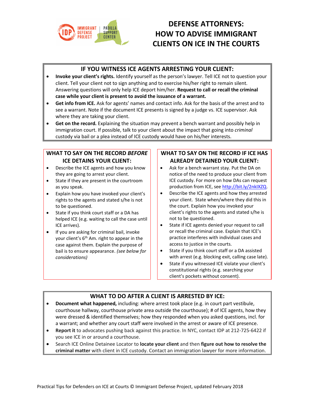

# **DEFENSE ATTORNEYS: HOW TO ADVISE IMMIGRANT CLIENTS ON ICE IN THE COURTS**

#### **IF YOU WITNESS ICE AGENTS ARRESTING YOUR CLIENT:**

- **Invoke your client's rights.** Identify yourself as the person's lawyer. Tell ICE not to question your client. Tell your client not to sign anything and to exercise his/her right to remain silent. Answering questions will only help ICE deport him/her. **Request to call or recall the criminal case while your client is present to avoid the issuance of a warrant.**
- **Get info from ICE.** Ask for agents' names and contact info. Ask for the basis of the arrest and to see a warrant. Note if the document ICE presents is signed by a judge vs. ICE supervisor. Ask where they are taking your client.
- **Get on the record.** Explaining the situation may prevent a bench warrant and possibly help in immigration court. If possible, talk to your client about the impact that going into *criminal* custody via bail or a plea instead of ICE custody would have on his/her interests.

#### **WHAT TO SAY ON THE RECORD** *BEFORE* **ICE DETAINS YOUR CLIENT:**

- Describe the ICE agents and how you know they are going to arrest your client.
- State if they are present in the courtroom as you speak.
- Explain how you have invoked your client's rights to the agents and stated s/he is not to be questioned.
- State if you think court staff or a DA has helped ICE (e.g. waiting to call the case until ICE arrives).
- If you are asking for criminal bail, invoke your client's  $6<sup>th</sup>$  Am. right to appear in the case against them. Explain the purpose of bail is to ensure appearance. *(see below for considerations)*

#### **WHAT TO SAY ON THE RECORD IF ICE HAS ALREADY DETAINED YOUR CLIENT:**

- Ask for a bench warrant stay. Put the DA on notice of the need to produce your client from ICE custody. For more on how DAs can request production from ICE, see [http://bit.ly/2nkIXZQ.](http://bit.ly/2nkIXZQ)
- Describe the ICE agents and how they arrested your client. State when/where they did this in the court. Explain how you invoked your client's rights to the agents and stated s/he is not to be questioned.
- State if ICE agents denied your request to call or recall the criminal case. Explain that ICE's practice interferes with individual cases and access to justice in the courts.
- State if you think court staff or a DA assisted with arrest (e.g. blocking exit, calling case late).
- State if you witnessed ICE violate your client's constitutional rights (e.g. searching your client's pockets without consent).

#### **WHAT TO DO AFTER A CLIENT IS ARRESTED BY ICE:**

- **Document what happened,** including: where arrest took place (e.g. in court part vestibule, courthouse hallway, courthouse private area outside the courthouse); # of ICE agents, how they were dressed & identified themselves; how they responded when you asked questions, incl. for a warrant; and whether any court staff were involved in the arrest or aware of ICE presence.
- **Report it** to advocates pushing back against this practice. In NYC, contact IDP at 212-725-6422 if you see ICE in or around a courthouse.
- Search ICE Online Detainee Locator to **locate your client** and then **figure out how to resolve the criminal matter** with client in ICE custody. Contact an immigration lawyer for more information.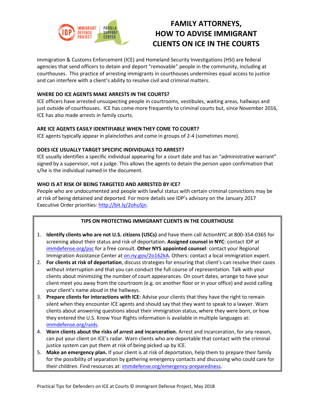

## **FAMILY ATTORNEYS, HOW TO ADVISE IMMIGRANT CLIENTS ON ICE IN THE COURTS**

Immigration & Customs Enforcement (ICE) and Homeland Security Investigations (HSI) are federal agencies that send officers to detain and deport "removable" people in the community, including at courthouses. This practice of arresting immigrants in courthouses undermines equal access to justice and can interfere with a client's ability to resolve civil and criminal matters.

#### **WHERE DO ICE AGENTS MAKE ARRESTS IN THE COURTS?**

ICE officers have arrested unsuspecting people in courtrooms, vestibules, waiting areas, hallways and just outside of courthouses. ICE has come more frequently to criminal courts but, since November 2016, ICE has also made arrests in family courts.

#### **ARE ICE AGENTS EASILY IDENTIFIABLE WHEN THEY COME TO COURT?**

ICE agents typically appear in plainclothes and come in groups of 2-4 (sometimes more).

#### **DOES ICE USUALLY TARGET SPECIFIC INDIVIDUALS TO ARREST?**

ICE usually identifies a specific individual appearing for a court date and has an "administrative warrant" signed by a supervisor, not a judge. This allows the agents to detain the person upon confirmation that s/he is the individual named in the document.

#### **WHO IS AT RISK OF BEING TARGETED AND ARRESTED BY ICE?**

People who are undocumented and people with lawful status with certain criminal convictions may be at risk of being detained and deported. For more details see IDP's advisory on the January 2017 Executive Order priorities[: http://bit.ly/2ohuSjn.](http://bit.ly/2ohuSjn)

#### **TIPS ON PROTECTING IMMIGRANT CLIENTS IN THE COURTHOUSE**

- 1. **Identify clients who are not U.S. citizens (USCs)** and have them call ActionNYC at 800-354-0365 for screening about their status and risk of deportation. **Assigned counsel in NYC**: contact IDP at immdefense.org/psc for a free consult. **Other NYS appointed counsel**: contact your Regional Immigration Assistance Center at on.ny.gov/2o162kA. Others: contact a local immigration expert.
- 2. **For clients at risk of deportation**, discuss strategies for ensuring that client's can resolve their cases without interruption and that you can conduct the full course of representation. Talk with your clients about minimizing the number of court appearances. On court dates, arrange to have your client meet you away from the courtroom (e.g. on another floor or in your office) and avoid calling your client's name aloud in the hallways.
- 3. **Prepare clients for interactions with ICE:** Advise your clients that they have the right to remain silent when they encounter ICE agents and should say that they want to speak to a lawyer. Warn clients about answering questions about their immigration status, where they were born, or how they entered the U.S. Know Your Rights information is available in multiple languages at: immdefense.org/raids.
- 4. **Warn clients about the risks of arrest and incarceration.** Arrest and incarceration, for any reason, can put your client on ICE's radar. Warn clients who are deportable that contact with the criminal justice system can put them at risk of being picked up by ICE.
- 5. **Make an emergency plan.** If your client is at risk of deportation, help them to prepare their family for the possibility of separation by gathering emergency contacts and discussing who could care for their children. Find resources at: immdefense.org/emergency-preparedness.